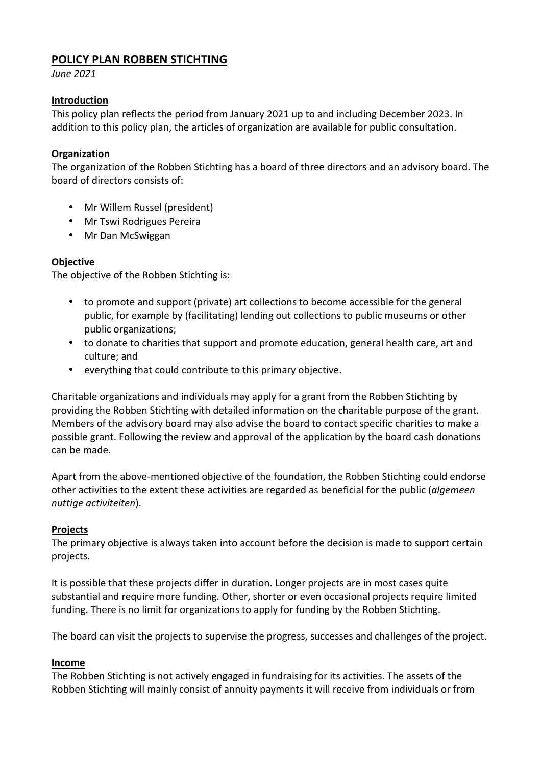# **POLICY PLAN ROBBEN STICHTING**

*June 2021*

## **Introduction**

This policy plan reflects the period from January 2021 up to and including December 2023. In addition to this policy plan, the articles of organization are available for public consultation.

## **Organization**

The organization of the Robben Stichting has a board of three directors and an advisory board. The board of directors consists of:

- Mr Willem Russel (president)
- Mr Tswi Rodrigues Pereira
- Mr Dan McSwiggan

## **Objective**

The objective of the Robben Stichting is:

- to promote and support (private) art collections to become accessible for the general public, for example by (facilitating) lending out collections to public museums or other public organizations;
- to donate to charities that support and promote education, general health care, art and culture; and
- everything that could contribute to this primary objective.

Charitable organizations and individuals may apply for a grant from the Robben Stichting by providing the Robben Stichting with detailed information on the charitable purpose of the grant. Members of the advisory board may also advise the board to contact specific charities to make a possible grant. Following the review and approval of the application by the board cash donations can be made.

Apart from the above-mentioned objective of the foundation, the Robben Stichting could endorse other activities to the extent these activities are regarded as beneficial for the public (*algemeen nuttige activiteiten*).

#### **Projects**

The primary objective is always taken into account before the decision is made to support certain projects.

It is possible that these projects differ in duration. Longer projects are in most cases quite substantial and require more funding. Other, shorter or even occasional projects require limited funding. There is no limit for organizations to apply for funding by the Robben Stichting.

The board can visit the projects to supervise the progress, successes and challenges of the project.

#### **Income**

The Robben Stichting is not actively engaged in fundraising for its activities. The assets of the Robben Stichting will mainly consist of annuity payments it will receive from individuals or from